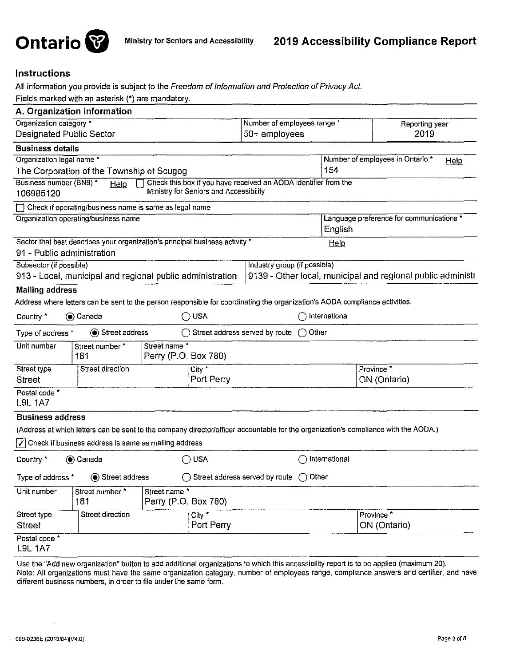

# Instructions

All information you provide is subject to the Freedom of Information and Protection of Privacy Act.

Fields marked with an asterisk (•) are mandatory.

| A. Organization information                                                                                                         |                                                                 |                                                     |                                                             |  |  |
|-------------------------------------------------------------------------------------------------------------------------------------|-----------------------------------------------------------------|-----------------------------------------------------|-------------------------------------------------------------|--|--|
| Organization category *<br>Number of employees range *                                                                              |                                                                 |                                                     | Reporting year                                              |  |  |
| Designated Public Sector                                                                                                            |                                                                 | 50+ employees<br>2019                               |                                                             |  |  |
| <b>Business details</b>                                                                                                             |                                                                 |                                                     |                                                             |  |  |
| Organization legal name *                                                                                                           |                                                                 | Number of employees in Ontario *<br><b>Help</b>     |                                                             |  |  |
| The Corporation of the Township of Scugog                                                                                           |                                                                 | 154                                                 |                                                             |  |  |
| Business number (BN9) *<br>Help<br>Ministry for Seniors and Accessibility<br>106985120                                              | Check this box if you have received an AODA identifier from the |                                                     |                                                             |  |  |
| Check if operating/business name is same as legal name                                                                              |                                                                 |                                                     |                                                             |  |  |
| Organization operating/business name                                                                                                |                                                                 | Language preference for communications *<br>English |                                                             |  |  |
| Sector that best describes your organization's principal business activity *                                                        |                                                                 | Help                                                |                                                             |  |  |
| 91 - Public administration                                                                                                          |                                                                 |                                                     |                                                             |  |  |
| Subsector (if possible)                                                                                                             | Industry group (if possible)                                    |                                                     |                                                             |  |  |
| 913 - Local, municipal and regional public administration                                                                           |                                                                 |                                                     | 9139 - Other local, municipal and regional public administr |  |  |
| <b>Mailing address</b>                                                                                                              |                                                                 |                                                     |                                                             |  |  |
| Address where letters can be sent to the person responsible for coordinating the organization's AODA compliance activities.         |                                                                 |                                                     |                                                             |  |  |
| $\bigcirc$ usa<br>Country *<br>Canada                                                                                               |                                                                 | International                                       |                                                             |  |  |
| Street address<br>Type of address *                                                                                                 | Street address served by route<br>( )                           | Other                                               |                                                             |  |  |
| Unit number<br>Street name *<br>Street number *<br>Perry (P.O. Box 780)<br>181                                                      |                                                                 |                                                     |                                                             |  |  |
| Street type<br>Street direction<br>City *                                                                                           |                                                                 |                                                     | Province <sup>*</sup>                                       |  |  |
| <b>Street</b>                                                                                                                       | Port Perry                                                      |                                                     | ON (Ontario)                                                |  |  |
| Postal code *<br><b>L9L 1A7</b>                                                                                                     |                                                                 |                                                     |                                                             |  |  |
| <b>Business address</b>                                                                                                             |                                                                 |                                                     |                                                             |  |  |
| (Address at which letters can be sent to the company director/officer accountable for the organization's compliance with the AODA.) |                                                                 |                                                     |                                                             |  |  |
| $\sqrt{}$ Check if business address is same as mailing address                                                                      |                                                                 |                                                     |                                                             |  |  |
| $\bigcirc$ usa<br>Canada<br>Country *                                                                                               |                                                                 | International                                       |                                                             |  |  |
| $\bigcirc$ Other<br>Street address<br>Street address served by route<br>Type of address *                                           |                                                                 |                                                     |                                                             |  |  |
| Unit number<br>Street name *<br>Street number*<br>Perry (P.O. Box 780)<br>181                                                       |                                                                 |                                                     |                                                             |  |  |
| Street type<br>Street direction<br>$\overline{City}^*$                                                                              |                                                                 |                                                     | Province <sup>*</sup>                                       |  |  |
| <b>Street</b>                                                                                                                       | Port Perry                                                      |                                                     | ON (Ontario)                                                |  |  |
| Postal code <sup>*</sup><br><b>L9L 1A7</b>                                                                                          |                                                                 |                                                     |                                                             |  |  |

Use the "Add new organization" button to add additional organizations to which this accessibility report is to be applied (maximum 20). Note: All organizations must have the same organization category, number of employees range, compliance answers and certifier, and have different business numbers, in order to file under the same form.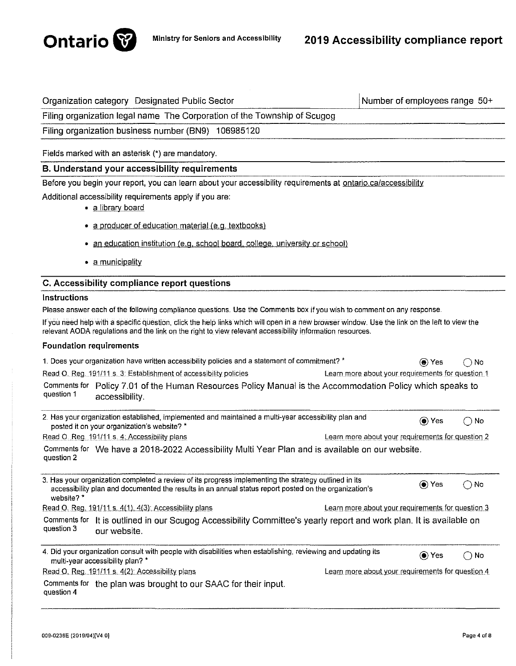

| Organization category Designated Public Sector                                                                                                                                                                                                             |                                                   | Number of employees range 50+ |                                                     |
|------------------------------------------------------------------------------------------------------------------------------------------------------------------------------------------------------------------------------------------------------------|---------------------------------------------------|-------------------------------|-----------------------------------------------------|
| Filing organization legal name The Corporation of the Township of Scugog                                                                                                                                                                                   |                                                   |                               |                                                     |
| Filing organization business number (BN9) 106985120                                                                                                                                                                                                        |                                                   |                               |                                                     |
| Fields marked with an asterisk (*) are mandatory.                                                                                                                                                                                                          |                                                   |                               |                                                     |
|                                                                                                                                                                                                                                                            |                                                   |                               |                                                     |
| <b>B. Understand your accessibility requirements</b>                                                                                                                                                                                                       |                                                   |                               |                                                     |
| Before you begin your report, you can learn about your accessibility requirements at ontario.ca/accessibility<br>Additional accessibility requirements apply if you are:                                                                                   |                                                   |                               |                                                     |
| · a library board                                                                                                                                                                                                                                          |                                                   |                               |                                                     |
| • a producer of education material (e.g. textbooks)                                                                                                                                                                                                        |                                                   |                               |                                                     |
| • an education institution (e.g. school board, college, university or school)                                                                                                                                                                              |                                                   |                               |                                                     |
| • a municipality                                                                                                                                                                                                                                           |                                                   |                               |                                                     |
| C. Accessibility compliance report questions                                                                                                                                                                                                               |                                                   |                               |                                                     |
| Instructions                                                                                                                                                                                                                                               |                                                   |                               |                                                     |
| Please answer each of the following compliance questions. Use the Comments box if you wish to comment on any response.                                                                                                                                     |                                                   |                               |                                                     |
| If you need help with a specific question, click the help links which will open in a new browser window. Use the link on the left to view the<br>relevant AODA regulations and the link on the right to view relevant accessibility information resources. |                                                   |                               |                                                     |
| <b>Foundation requirements</b>                                                                                                                                                                                                                             |                                                   |                               |                                                     |
| 1. Does your organization have written accessibility policies and a statement of commitment? *                                                                                                                                                             |                                                   | $\circledbullet$ Yes          | No                                                  |
| Read O. Reg. 191/11 s. 3: Establishment of accessibility policies                                                                                                                                                                                          | Learn more about your requirements for question 1 |                               |                                                     |
| Comments for Policy 7.01 of the Human Resources Policy Manual is the Accommodation Policy which speaks to<br>question 1<br>accessibility.                                                                                                                  |                                                   |                               |                                                     |
| 2. Has your organization established, implemented and maintained a multi-year accessibility plan and<br>posted it on your organization's website? *                                                                                                        |                                                   | (● Yes                        | No<br>$\rightarrow$                                 |
| Read O. Reg. 191/11 s. 4: Accessibility plans                                                                                                                                                                                                              | Learn more about your requirements for question 2 |                               |                                                     |
| Comments for We have a 2018-2022 Accessibility Multi Year Plan and is available on our website.<br>question 2                                                                                                                                              |                                                   |                               |                                                     |
| 3. Has your organization completed a review of its progress implementing the strategy outlined in its<br>accessibility plan and documented the results in an annual status report posted on the organization's<br>website?*                                |                                                   | $\odot$ Yes                   | ∩ No                                                |
| Read O. Reg. 191/11 s. 4(1), 4(3): Accessibility plans                                                                                                                                                                                                     | Learn more about your requirements for question 3 |                               |                                                     |
| Comments for<br>It is outlined in our Scugog Accessibility Committee's yearly report and work plan. It is available on<br>question 3<br>our website.                                                                                                       |                                                   |                               |                                                     |
| 4. Did your organization consult with people with disabilities when establishing, reviewing and updating its<br>multi-year accessibility plan? *                                                                                                           |                                                   | (● Yes                        | No<br>$\left( \begin{array}{c} \end{array} \right)$ |
| Read O. Reg. 191/11 s. 4(2): Accessibility plans                                                                                                                                                                                                           | Learn more about your requirements for question 4 |                               |                                                     |
| Comments for the plan was brought to our SAAC for their input.<br>question 4                                                                                                                                                                               |                                                   |                               |                                                     |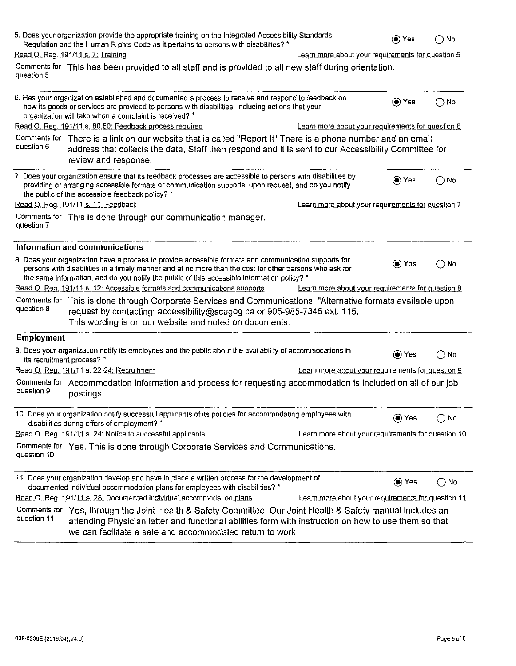|                             | 5. Does your organization provide the appropriate training on the Integrated Accessibility Standards<br>Regulation and the Human Rights Code as it pertains to persons with disabilities? *                                                                                                                     |                                                    | (●) Yes | ∩ No          |
|-----------------------------|-----------------------------------------------------------------------------------------------------------------------------------------------------------------------------------------------------------------------------------------------------------------------------------------------------------------|----------------------------------------------------|---------|---------------|
|                             | Read O. Reg. 191/11 s. 7: Training                                                                                                                                                                                                                                                                              | Learn more about your requirements for question 5  |         |               |
| question 5                  | Comments for This has been provided to all staff and is provided to all new staff during orientation.                                                                                                                                                                                                           |                                                    |         |               |
|                             | 6. Has your organization established and documented a process to receive and respond to feedback on<br>how its goods or services are provided to persons with disabilities, including actions that your<br>organization will take when a complaint is received? *                                               |                                                    | (●) Yes | $\bigcirc$ No |
|                             | Read O. Reg. 191/11 s. 80.50: Feedback process required                                                                                                                                                                                                                                                         | Learn more about your requirements for question 6  |         |               |
| Comments for<br>question 6  | There is a link on our website that is called "Report It" There is a phone number and an email<br>address that collects the data, Staff then respond and it is sent to our Accessibility Committee for<br>review and response.                                                                                  |                                                    |         |               |
|                             | 7. Does your organization ensure that its feedback processes are accessible to persons with disabilities by<br>providing or arranging accessible formats or communication supports, upon request, and do you notify<br>the public of this accessible feedback policy? *                                         |                                                    | (●) Yes | $\bigcirc$ No |
|                             | Read O. Reg. 191/11 s. 11: Feedback                                                                                                                                                                                                                                                                             | Learn more about your requirements for question 7  |         |               |
| question 7                  | Comments for This is done through our communication manager.                                                                                                                                                                                                                                                    |                                                    |         |               |
|                             | Information and communications                                                                                                                                                                                                                                                                                  |                                                    |         |               |
|                             | 8. Does your organization have a process to provide accessible formats and communication supports for<br>persons with disabilities in a timely manner and at no more than the cost for other persons who ask for<br>the same information, and do you notify the public of this accessible information policy? * |                                                    | (●) Yes | ( ) No        |
|                             | Read O. Reg. 191/11 s. 12: Accessible formats and communications supports                                                                                                                                                                                                                                       | Learn more about your requirements for question 8  |         |               |
| Comments for<br>question 8  | This is done through Corporate Services and Communications. "Alternative formats available upon<br>request by contacting: accessibility@scugog.ca or 905-985-7346 ext. 115.<br>This wording is on our website and noted on documents.                                                                           |                                                    |         |               |
| Employment                  |                                                                                                                                                                                                                                                                                                                 |                                                    |         |               |
|                             | 9. Does your organization notify its employees and the public about the availability of accommodations in<br>its recruitment process? *                                                                                                                                                                         |                                                    | (● Yes  | ( ) No        |
|                             | Read O. Reg. 191/11 s. 22-24: Recruitment                                                                                                                                                                                                                                                                       | Learn more about your requirements for question 9  |         |               |
| question 9                  | Comments for Accommodation information and process for requesting accommodation is included on all of our job<br>postings                                                                                                                                                                                       |                                                    |         |               |
|                             | 10. Does your organization notify successful applicants of its policies for accommodating employees with<br>disabilities during offers of employment? *                                                                                                                                                         |                                                    | () Yes  | $\bigcirc$ No |
|                             | Read O. Reg. 191/11 s. 24: Notice to successful applicants                                                                                                                                                                                                                                                      | Learn more about your requirements for question 10 |         |               |
| question 10                 | Comments for Yes. This is done through Corporate Services and Communications.                                                                                                                                                                                                                                   |                                                    |         |               |
|                             | 11. Does your organization develop and have in place a written process for the development of<br>documented individual accommodation plans for employees with disabilities? *                                                                                                                                   |                                                    | (● Yes  | $\bigcirc$ No |
|                             | Read O. Reg. 191/11 s. 28: Documented individual accommodation plans                                                                                                                                                                                                                                            | Learn more about your requirements for question 11 |         |               |
| Comments for<br>question 11 | Yes, through the Joint Health & Safety Committee. Our Joint Health & Safety manual includes an<br>attending Physician letter and functional abilities form with instruction on how to use them so that<br>we can facilitate a safe and accommodated return to work                                              |                                                    |         |               |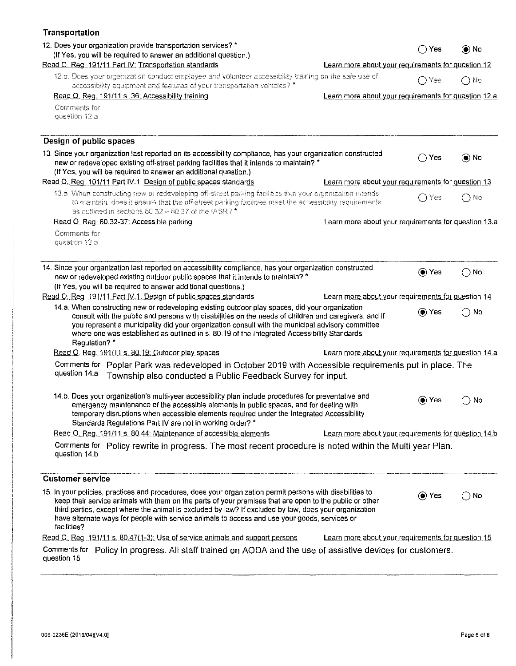| <b>Transportation</b>                                                                                                                                                                                                                                                                                                                                                                                                                          |                                                      |                      |               |
|------------------------------------------------------------------------------------------------------------------------------------------------------------------------------------------------------------------------------------------------------------------------------------------------------------------------------------------------------------------------------------------------------------------------------------------------|------------------------------------------------------|----------------------|---------------|
| 12. Does your organization provide transportation services? *<br>(If Yes, you will be required to answer an additional question.)                                                                                                                                                                                                                                                                                                              |                                                      | Yes                  | $\odot$ No    |
| Read O. Reg. 191/11 Part IV: Transportation standards                                                                                                                                                                                                                                                                                                                                                                                          | Learn more about your requirements for question 12   |                      |               |
| 12.a. Does your organization conduct employee and volunteer accessibility training on the safe use of<br>accessibility equipment and features of your transportation vehicles? *                                                                                                                                                                                                                                                               |                                                      | ∩ Yes                | $\bigcap$ No  |
| Read O. Reg. 191/11 s. 36: Accessibility training                                                                                                                                                                                                                                                                                                                                                                                              | Learn more about your requirements for question 12.a |                      |               |
| Comments for<br>question 12 a                                                                                                                                                                                                                                                                                                                                                                                                                  |                                                      |                      |               |
| Design of public spaces                                                                                                                                                                                                                                                                                                                                                                                                                        |                                                      |                      |               |
| 13. Since your organization last reported on its accessibility compliance, has your organization constructed<br>new or redeveloped existing off-street parking facilities that it intends to maintain? *<br>(If Yes, you will be required to answer an additional question.)                                                                                                                                                                   |                                                      | ()Yes                | () No         |
| Read O. Reg. 101/11 Part IV.1: Design of public spaces standards                                                                                                                                                                                                                                                                                                                                                                               | Learn more about your requirements for question 13   |                      |               |
| 13.a When constructing new or redeveloping off-street parking facilities that your organization intends<br>to maintain, does it ensure that the off-street parking facilities meet the accessibility requirements<br>as outlined in sections 80.32 - 80.37 of the IASR? *                                                                                                                                                                      |                                                      | ∩Yes                 | ∩ No          |
| Read O. Reg. 80.32-37: Accessible parking                                                                                                                                                                                                                                                                                                                                                                                                      | Learn more about your requirements for question 13.a |                      |               |
| Comments for<br>question 13.a                                                                                                                                                                                                                                                                                                                                                                                                                  |                                                      |                      |               |
| 14. Since your organization last reported on accessibility compliance, has your organization constructed<br>new or redeveloped existing outdoor public spaces that it intends to maintain? *<br>(If Yes, you will be required to answer additional questions.)<br>Read O. Reg. 191/11 Part IV.1: Design of public spaces standards                                                                                                             | Learn more about your requirements for question 14   | $\circledbullet$ Yes | $\bigcirc$ No |
| 14.a. When constructing new or redeveloping existing outdoor play spaces, did your organization<br>consult with the public and persons with disabilities on the needs of children and caregivers, and if<br>you represent a municipality did your organization consult with the municipal advisory committee<br>where one was established as outlined in s. 80.19 of the Integrated Accessibility Standards<br>Regulation? *                   |                                                      | $\circledbullet$ Yes | $\cap$ No     |
| Read O. Reg. 191/11 s. 80.19: Outdoor play spaces                                                                                                                                                                                                                                                                                                                                                                                              | Learn more about your requirements for question 14 a |                      |               |
| Comments for Poplar Park was redeveloped in October 2019 with Accessible requirements put in place. The<br>question 14.a<br>Township also conducted a Public Feedback Survey for input.                                                                                                                                                                                                                                                        |                                                      |                      |               |
| 14.b. Does your organization's multi-year accessibility plan include procedures for preventative and<br>emergency maintenance of the accessible elements in public spaces, and for dealing with<br>temporary disruptions when accessible elements required under the Integrated Accessibility<br>Standards Regulations Part IV are not in working order? *                                                                                     |                                                      | $\odot$ Yes          | $\bigcirc$ No |
| Read O. Reg. 191/11 s. 80.44: Maintenance of accessible elements                                                                                                                                                                                                                                                                                                                                                                               | Learn more about your requirements for question 14.b |                      |               |
| Comments for Policy rewrite in progress. The most recent procedure is noted within the Multi year Plan.<br>question 14.b                                                                                                                                                                                                                                                                                                                       |                                                      |                      |               |
| <b>Customer service</b>                                                                                                                                                                                                                                                                                                                                                                                                                        |                                                      |                      |               |
| 15. In your policies, practices and procedures, does your organization permit persons with disabilities to<br>keep their service animals with them on the parts of your premises that are open to the public or other<br>third parties, except where the animal is excluded by law? If excluded by law, does your organization<br>have alternate ways for people with service animals to access and use your goods, services or<br>facilities? |                                                      | $\odot$ Yes          | $\bigcirc$ No |
| Read O. Reg. 191/11 s. 80.47(1-3); Use of service animals and support persons                                                                                                                                                                                                                                                                                                                                                                  | Learn more about your requirements for question 15   |                      |               |
| Comments for Policy in progress. All staff trained on AODA and the use of assistive devices for customers.<br>question 15                                                                                                                                                                                                                                                                                                                      |                                                      |                      |               |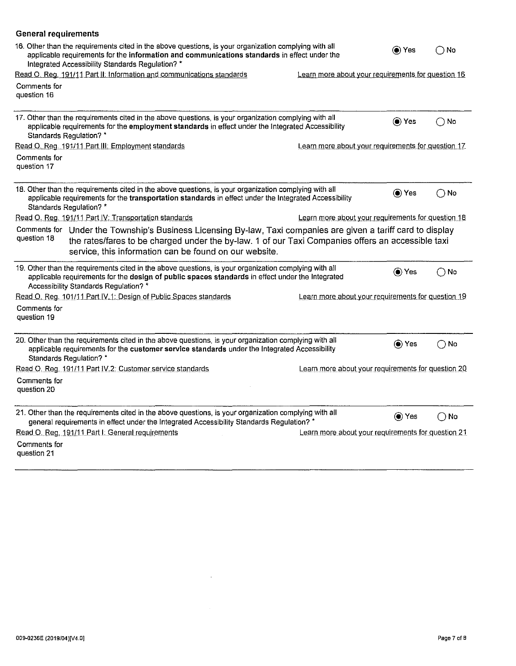| <b>General requirements</b>                                                                                                                                                                                                                                                                  |                                                    |              |               |
|----------------------------------------------------------------------------------------------------------------------------------------------------------------------------------------------------------------------------------------------------------------------------------------------|----------------------------------------------------|--------------|---------------|
| 16. Other than the requirements cited in the above questions, is your organization complying with all<br>applicable requirements for the information and communications standards in effect under the<br>Integrated Accessibility Standards Regulation? *                                    |                                                    | (●) Yes      | $()$ No       |
| Read O. Reg. 191/11 Part II: Information and communications standards                                                                                                                                                                                                                        | Learn more about your requirements for question 16 |              |               |
| Comments for<br>question 16                                                                                                                                                                                                                                                                  |                                                    |              |               |
| 17. Other than the requirements cited in the above questions, is your organization complying with all<br>applicable requirements for the employment standards in effect under the Integrated Accessibility<br>Standards Regulation? *                                                        |                                                    | (● Yes       | $\bigcirc$ No |
| Read O. Reg. 191/11 Part III: Employment standards                                                                                                                                                                                                                                           | Learn more about your requirements for question 17 |              |               |
| Comments for<br>question 17                                                                                                                                                                                                                                                                  |                                                    |              |               |
| 18. Other than the requirements cited in the above questions, is your organization complying with all<br>applicable requirements for the transportation standards in effect under the Integrated Accessibility<br>Standards Regulation? *                                                    |                                                    | (●) Yes      | ( ) No        |
| Read O. Reg. 191/11 Part IV: Transportation standards                                                                                                                                                                                                                                        | Learn more about your requirements for question 18 |              |               |
| Comments for Under the Township's Business Licensing By-law, Taxi companies are given a tariff card to display<br>question 18<br>the rates/fares to be charged under the by-law. 1 of our Taxi Companies offers an accessible taxi<br>service, this information can be found on our website. |                                                    |              |               |
| 19. Other than the requirements cited in the above questions, is your organization complying with all<br>applicable requirements for the design of public spaces standards in effect under the Integrated<br>Accessibility Standards Regulation? *                                           |                                                    | (● Yes       | $\bigcirc$ No |
| Read O. Reg. 101/11 Part IV.1: Design of Public Spaces standards                                                                                                                                                                                                                             | Learn more about your requirements for question 19 |              |               |
| Comments for<br>question 19                                                                                                                                                                                                                                                                  |                                                    |              |               |
| 20. Other than the requirements cited in the above questions, is your organization complying with all<br>applicable requirements for the customer service standards under the Integrated Accessibility<br>Standards Regulation? *                                                            |                                                    | (● Yes       | $\bigcirc$ No |
| Read O. Reg. 191/11 Part IV.2: Customer service standards                                                                                                                                                                                                                                    | Learn more about your requirements for question 20 |              |               |
| Comments for<br>question 20                                                                                                                                                                                                                                                                  |                                                    |              |               |
| 21. Other than the requirements cited in the above questions, is your organization complying with all<br>general requirements in effect under the Integrated Accessibility Standards Regulation? *                                                                                           |                                                    | <b>)</b> Yes | $\bigcirc$ No |
| Read O. Reg. 191/11 Part I: General requirements                                                                                                                                                                                                                                             | Learn more about your requirements for question 21 |              |               |
| Comments for<br>question 21                                                                                                                                                                                                                                                                  |                                                    |              |               |

 $\sim 10^6$